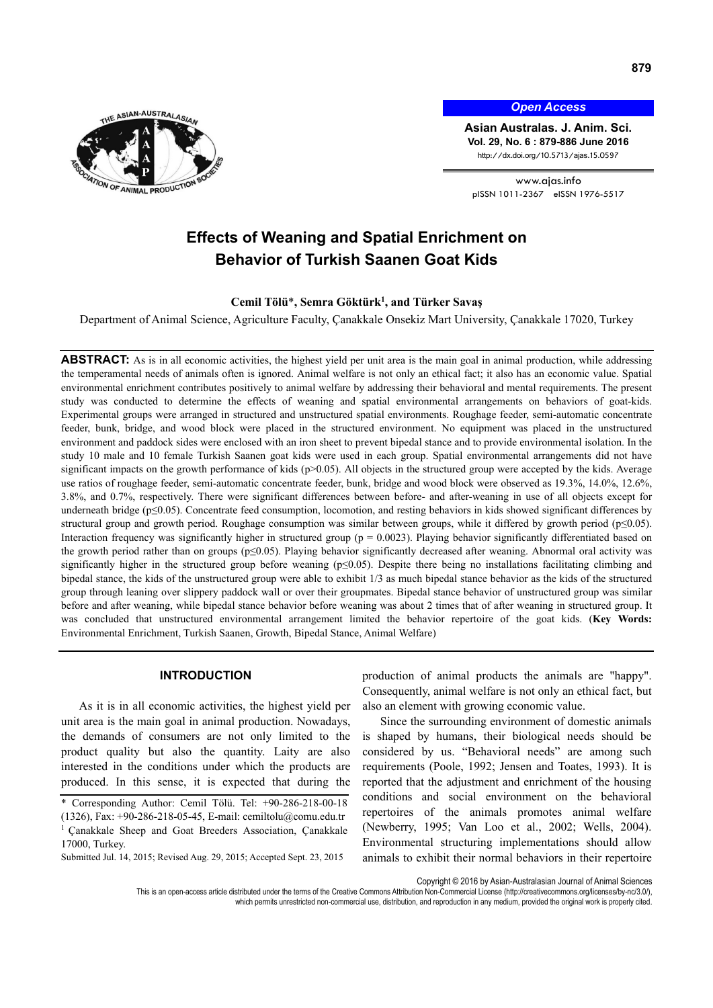

*Open Access*

**Asian Australas. J. Anim. Sci. Vol. 29, No. 6 : 879-886 June 2016**  http://dx.doi.org/10.5713/ajas.15.0597

www.ajas.info pISSN 1011-2367 eISSN 1976-5517

# **Effects of Weaning and Spatial Enrichment on Behavior of Turkish Saanen Goat Kids**

**Cemil Tölü**\***, Semra Göktürk1 , and Türker Savaş**

Department of Animal Science, Agriculture Faculty, Çanakkale Onsekiz Mart University, Çanakkale 17020, Turkey

**ABSTRACT:** As is in all economic activities, the highest yield per unit area is the main goal in animal production, while addressing the temperamental needs of animals often is ignored. Animal welfare is not only an ethical fact; it also has an economic value. Spatial environmental enrichment contributes positively to animal welfare by addressing their behavioral and mental requirements. The present study was conducted to determine the effects of weaning and spatial environmental arrangements on behaviors of goat-kids. Experimental groups were arranged in structured and unstructured spatial environments. Roughage feeder, semi-automatic concentrate feeder, bunk, bridge, and wood block were placed in the structured environment. No equipment was placed in the unstructured environment and paddock sides were enclosed with an iron sheet to prevent bipedal stance and to provide environmental isolation. In the study 10 male and 10 female Turkish Saanen goat kids were used in each group. Spatial environmental arrangements did not have significant impacts on the growth performance of kids (p>0.05). All objects in the structured group were accepted by the kids. Average use ratios of roughage feeder, semi-automatic concentrate feeder, bunk, bridge and wood block were observed as 19.3%, 14.0%, 12.6%, 3.8%, and 0.7%, respectively. There were significant differences between before- and after-weaning in use of all objects except for underneath bridge (p≤0.05). Concentrate feed consumption, locomotion, and resting behaviors in kids showed significant differences by structural group and growth period. Roughage consumption was similar between groups, while it differed by growth period ( $p \le 0.05$ ). Interaction frequency was significantly higher in structured group ( $p = 0.0023$ ). Playing behavior significantly differentiated based on the growth period rather than on groups (p≤0.05). Playing behavior significantly decreased after weaning. Abnormal oral activity was significantly higher in the structured group before weaning (p≤0.05). Despite there being no installations facilitating climbing and bipedal stance, the kids of the unstructured group were able to exhibit 1/3 as much bipedal stance behavior as the kids of the structured group through leaning over slippery paddock wall or over their groupmates. Bipedal stance behavior of unstructured group was similar before and after weaning, while bipedal stance behavior before weaning was about 2 times that of after weaning in structured group. It was concluded that unstructured environmental arrangement limited the behavior repertoire of the goat kids. (**Key Words:** Environmental Enrichment, Turkish Saanen, Growth, Bipedal Stance, Animal Welfare)

# **INTRODUCTION**

As it is in all economic activities, the highest yield per unit area is the main goal in animal production. Nowadays, the demands of consumers are not only limited to the product quality but also the quantity. Laity are also interested in the conditions under which the products are produced. In this sense, it is expected that during the

also an element with growing economic value. Since the surrounding environment of domestic animals is shaped by humans, their biological needs should be

considered by us. "Behavioral needs" are among such requirements (Poole, 1992; Jensen and Toates, 1993). It is reported that the adjustment and enrichment of the housing conditions and social environment on the behavioral repertoires of the animals promotes animal welfare (Newberry, 1995; Van Loo et al., 2002; Wells, 2004). Environmental structuring implementations should allow animals to exhibit their normal behaviors in their repertoire

production of animal products the animals are "happy". Consequently, animal welfare is not only an ethical fact, but

Copyright © 2016 by Asian-Australasian Journal of Animal Sciences

which permits unrestricted non-commercial use, distribution, and reproduction in any medium, provided the original work is properly cited.

<sup>\*</sup> Corresponding Author: Cemil Tölü. Tel: +90-286-218-00-18 (1326), Fax: +90-286-218-05-45, E-mail: cemiltolu@comu.edu.tr

<sup>1</sup> Çanakkale Sheep and Goat Breeders Association, Çanakkale 17000, Turkey. Submitted Jul. 14, 2015; Revised Aug. 29, 2015; Accepted Sept. 23, 2015

This is an open-access article distributed under the terms of the Creative Commons Attribution Non-Commercial License (http://creativecommons.org/licenses/by-nc/3.0/),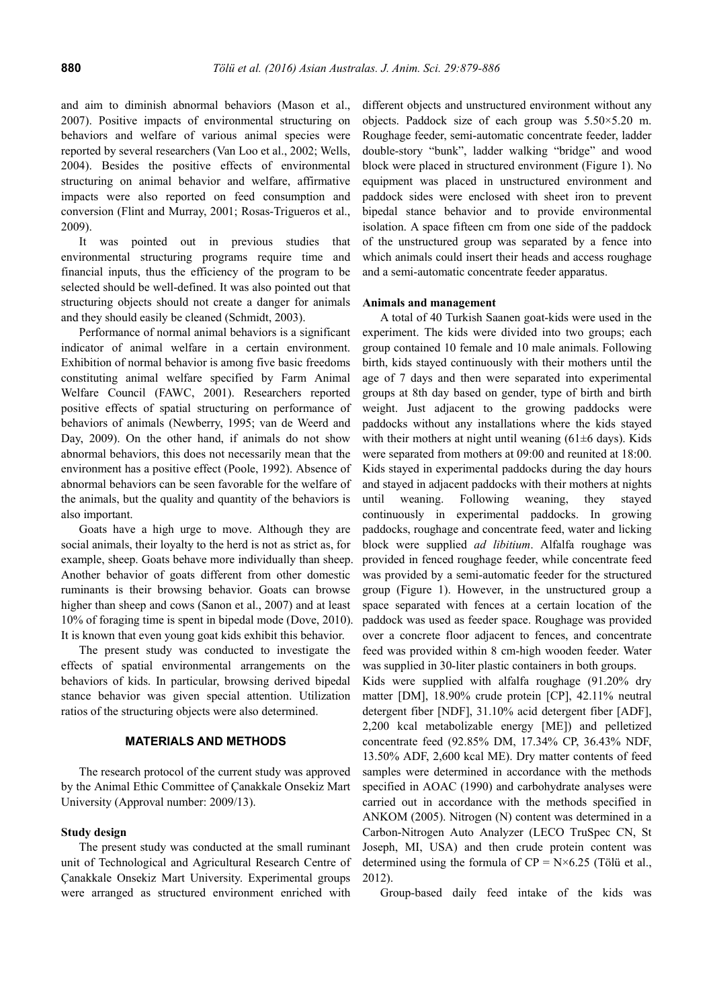and aim to diminish abnormal behaviors (Mason et al., 2007). Positive impacts of environmental structuring on behaviors and welfare of various animal species were reported by several researchers (Van Loo et al., 2002; Wells, 2004). Besides the positive effects of environmental structuring on animal behavior and welfare, affirmative impacts were also reported on feed consumption and conversion (Flint and Murray, 2001; Rosas-Trigueros et al., 2009).

It was pointed out in previous studies that environmental structuring programs require time and financial inputs, thus the efficiency of the program to be selected should be well-defined. It was also pointed out that structuring objects should not create a danger for animals and they should easily be cleaned (Schmidt, 2003).

Performance of normal animal behaviors is a significant indicator of animal welfare in a certain environment. Exhibition of normal behavior is among five basic freedoms constituting animal welfare specified by Farm Animal Welfare Council (FAWC, 2001). Researchers reported positive effects of spatial structuring on performance of behaviors of animals (Newberry, 1995; van de Weerd and Day, 2009). On the other hand, if animals do not show abnormal behaviors, this does not necessarily mean that the environment has a positive effect (Poole, 1992). Absence of abnormal behaviors can be seen favorable for the welfare of the animals, but the quality and quantity of the behaviors is also important.

Goats have a high urge to move. Although they are social animals, their loyalty to the herd is not as strict as, for example, sheep. Goats behave more individually than sheep. Another behavior of goats different from other domestic ruminants is their browsing behavior. Goats can browse higher than sheep and cows (Sanon et al., 2007) and at least 10% of foraging time is spent in bipedal mode (Dove, 2010). It is known that even young goat kids exhibit this behavior.

The present study was conducted to investigate the effects of spatial environmental arrangements on the behaviors of kids. In particular, browsing derived bipedal stance behavior was given special attention. Utilization ratios of the structuring objects were also determined.

# **MATERIALS AND METHODS**

The research protocol of the current study was approved by the Animal Ethic Committee of Çanakkale Onsekiz Mart University (Approval number: 2009/13).

### **Study design**

The present study was conducted at the small ruminant unit of Technological and Agricultural Research Centre of Çanakkale Onsekiz Mart University. Experimental groups were arranged as structured environment enriched with

different objects and unstructured environment without any objects. Paddock size of each group was 5.50×5.20 m. Roughage feeder, semi-automatic concentrate feeder, ladder double-story "bunk", ladder walking "bridge" and wood block were placed in structured environment (Figure 1). No equipment was placed in unstructured environment and paddock sides were enclosed with sheet iron to prevent bipedal stance behavior and to provide environmental isolation. A space fifteen cm from one side of the paddock of the unstructured group was separated by a fence into which animals could insert their heads and access roughage and a semi-automatic concentrate feeder apparatus.

## **Animals and management**

A total of 40 Turkish Saanen goat-kids were used in the experiment. The kids were divided into two groups; each group contained 10 female and 10 male animals. Following birth, kids stayed continuously with their mothers until the age of 7 days and then were separated into experimental groups at 8th day based on gender, type of birth and birth weight. Just adjacent to the growing paddocks were paddocks without any installations where the kids stayed with their mothers at night until weaning  $(61\pm6 \text{ days})$ . Kids were separated from mothers at 09:00 and reunited at 18:00. Kids stayed in experimental paddocks during the day hours and stayed in adjacent paddocks with their mothers at nights until weaning. Following weaning, they stayed continuously in experimental paddocks. In growing paddocks, roughage and concentrate feed, water and licking block were supplied *ad libitium*. Alfalfa roughage was provided in fenced roughage feeder, while concentrate feed was provided by a semi-automatic feeder for the structured group (Figure 1). However, in the unstructured group a space separated with fences at a certain location of the paddock was used as feeder space. Roughage was provided over a concrete floor adjacent to fences, and concentrate feed was provided within 8 cm-high wooden feeder. Water was supplied in 30-liter plastic containers in both groups.

Kids were supplied with alfalfa roughage (91.20% dry matter [DM], 18.90% crude protein [CP], 42.11% neutral detergent fiber [NDF], 31.10% acid detergent fiber [ADF], 2,200 kcal metabolizable energy [ME]) and pelletized concentrate feed (92.85% DM, 17.34% CP, 36.43% NDF, 13.50% ADF, 2,600 kcal ME). Dry matter contents of feed samples were determined in accordance with the methods specified in AOAC (1990) and carbohydrate analyses were carried out in accordance with the methods specified in ANKOM (2005). Nitrogen (N) content was determined in a Carbon-Nitrogen Auto Analyzer (LECO TruSpec CN, St Joseph, MI, USA) and then crude protein content was determined using the formula of  $CP = N \times 6.25$  (Tölü et al., 2012).

Group-based daily feed intake of the kids was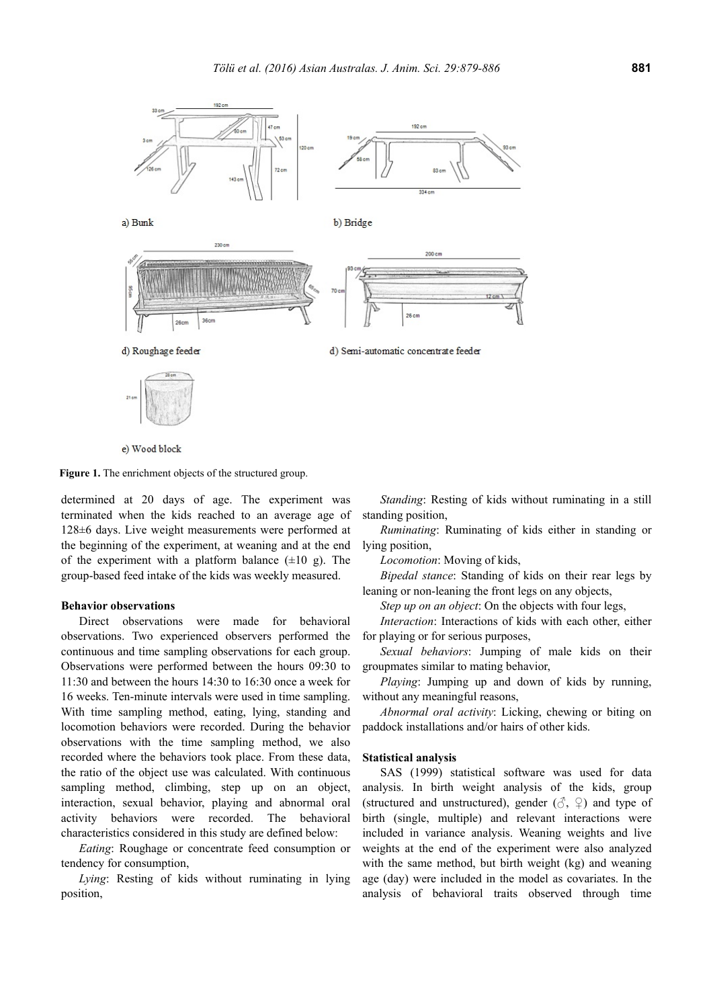

e) Wood block

**Figure 1.** The enrichment objects of the structured group.

determined at 20 days of age. The experiment was terminated when the kids reached to an average age of 128±6 days. Live weight measurements were performed at the beginning of the experiment, at weaning and at the end of the experiment with a platform balance  $(\pm 10 \text{ g})$ . The group-based feed intake of the kids was weekly measured.

#### **Behavior observations**

Direct observations were made for behavioral observations. Two experienced observers performed the continuous and time sampling observations for each group. Observations were performed between the hours 09:30 to 11:30 and between the hours 14:30 to 16:30 once a week for 16 weeks. Ten-minute intervals were used in time sampling. With time sampling method, eating, lying, standing and locomotion behaviors were recorded. During the behavior observations with the time sampling method, we also recorded where the behaviors took place. From these data, the ratio of the object use was calculated. With continuous sampling method, climbing, step up on an object, interaction, sexual behavior, playing and abnormal oral activity behaviors were recorded. The behavioral characteristics considered in this study are defined below:

*Eating*: Roughage or concentrate feed consumption or tendency for consumption,

*Lying*: Resting of kids without ruminating in lying position,

*Standing*: Resting of kids without ruminating in a still standing position,

*Ruminating*: Ruminating of kids either in standing or lying position,

*Locomotion*: Moving of kids,

*Bipedal stance*: Standing of kids on their rear legs by leaning or non-leaning the front legs on any objects,

*Step up on an object*: On the objects with four legs,

*Interaction*: Interactions of kids with each other, either for playing or for serious purposes,

*Sexual behaviors*: Jumping of male kids on their groupmates similar to mating behavior,

*Playing*: Jumping up and down of kids by running, without any meaningful reasons,

*Abnormal oral activity*: Licking, chewing or biting on paddock installations and/or hairs of other kids.

#### **Statistical analysis**

SAS (1999) statistical software was used for data analysis. In birth weight analysis of the kids, group (structured and unstructured), gender  $(\mathcal{S}, \varphi)$  and type of birth (single, multiple) and relevant interactions were included in variance analysis. Weaning weights and live weights at the end of the experiment were also analyzed with the same method, but birth weight (kg) and weaning age (day) were included in the model as covariates. In the analysis of behavioral traits observed through time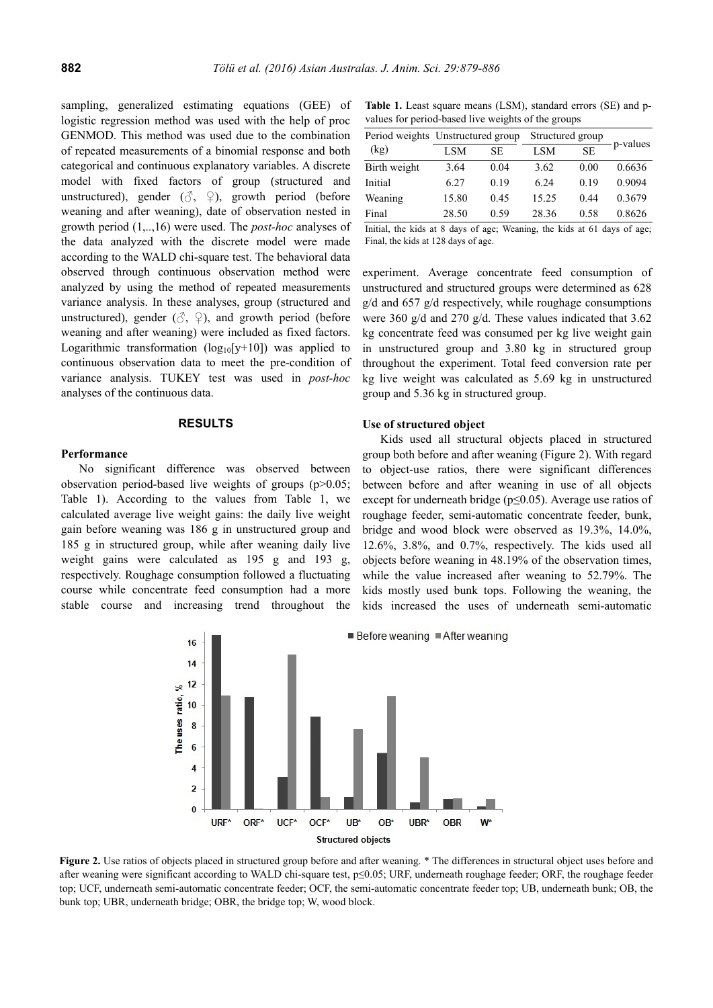sampling, generalized estimating equations (GEE) of logistic regression method was used with the help of proc GENMOD. This method was used due to the combination of repeated measurements of a binomial response and both categorical and continuous explanatory variables. A discrete model with fixed factors of group (structured and unstructured), gender  $(\vec{\delta}, \hat{\varphi})$ , growth period (before weaning and after weaning), date of observation nested in growth period (1,..,16) were used. The *post-hoc* analyses of the data analyzed with the discrete model were made according to the WALD chi-square test. The behavioral data observed through continuous observation method were analyzed by using the method of repeated measurements variance analysis. In these analyses, group (structured and unstructured), gender  $(\mathcal{S}, \varphi)$ , and growth period (before weaning and after weaning) were included as fixed factors. Logarithmic transformation  $(log_{10}[y+10])$  was applied to continuous observation data to meet the pre-condition of variance analysis. TUKEY test was used in *post-hoc* analyses of the continuous data.

#### **RESULTS**

#### **Performance**

No significant difference was observed between observation period-based live weights of groups (p>0.05; Table 1). According to the values from Table 1, we calculated average live weight gains: the daily live weight gain before weaning was 186 g in unstructured group and 185 g in structured group, while after weaning daily live weight gains were calculated as 195 g and 193 g, respectively. Roughage consumption followed a fluctuating course while concentrate feed consumption had a more stable course and increasing trend throughout the

**Table 1.** Least square means (LSM), standard errors (SE) and pvalues for period-based live weights of the groups

|              | Period weights Unstructured group |                      | Structured group |           | p-values |
|--------------|-----------------------------------|----------------------|------------------|-----------|----------|
| (kg)         | LSM                               | SE.                  | <b>LSM</b>       | <b>SE</b> |          |
| Birth weight | 3.64                              | 0.04                 | 3.62             | 0.00      | 0.6636   |
| Initial      | 6.27                              | 0.19                 | 6.24             | 0.19      | 0.9094   |
| Weaning      | 15.80                             | 0.45                 | 15.25            | 0.44      | 0.3679   |
| Final        | 28.50                             | 0.59                 | 28.36            | 0.58      | 0.8626   |
| .            | $\cdots$                          | $\sim$<br><b>WWW</b> |                  |           | $\sim$   |

Initial, the kids at 8 days of age; Weaning, the kids at 61 days of age; Final, the kids at 128 days of age.

experiment. Average concentrate feed consumption of unstructured and structured groups were determined as 628 g/d and 657 g/d respectively, while roughage consumptions were 360 g/d and 270 g/d. These values indicated that 3.62 kg concentrate feed was consumed per kg live weight gain in unstructured group and 3.80 kg in structured group throughout the experiment. Total feed conversion rate per kg live weight was calculated as 5.69 kg in unstructured group and 5.36 kg in structured group.

# **Use of structured object**

Kids used all structural objects placed in structured group both before and after weaning (Figure 2). With regard to object-use ratios, there were significant differences between before and after weaning in use of all objects except for underneath bridge ( $p \le 0.05$ ). Average use ratios of roughage feeder, semi-automatic concentrate feeder, bunk, bridge and wood block were observed as 19.3%, 14.0%, 12.6%, 3.8%, and 0.7%, respectively. The kids used all objects before weaning in 48.19% of the observation times, while the value increased after weaning to 52.79%. The kids mostly used bunk tops. Following the weaning, the kids increased the uses of underneath semi-automatic



**Figure 2.** Use ratios of objects placed in structured group before and after weaning. \* The differences in structural object uses before and after weaning were significant according to WALD chi-square test, p≤0.05; URF, underneath roughage feeder; ORF, the roughage feeder top; UCF, underneath semi-automatic concentrate feeder; OCF, the semi-automatic concentrate feeder top; UB, underneath bunk; OB, the bunk top; UBR, underneath bridge; OBR, the bridge top; W, wood block.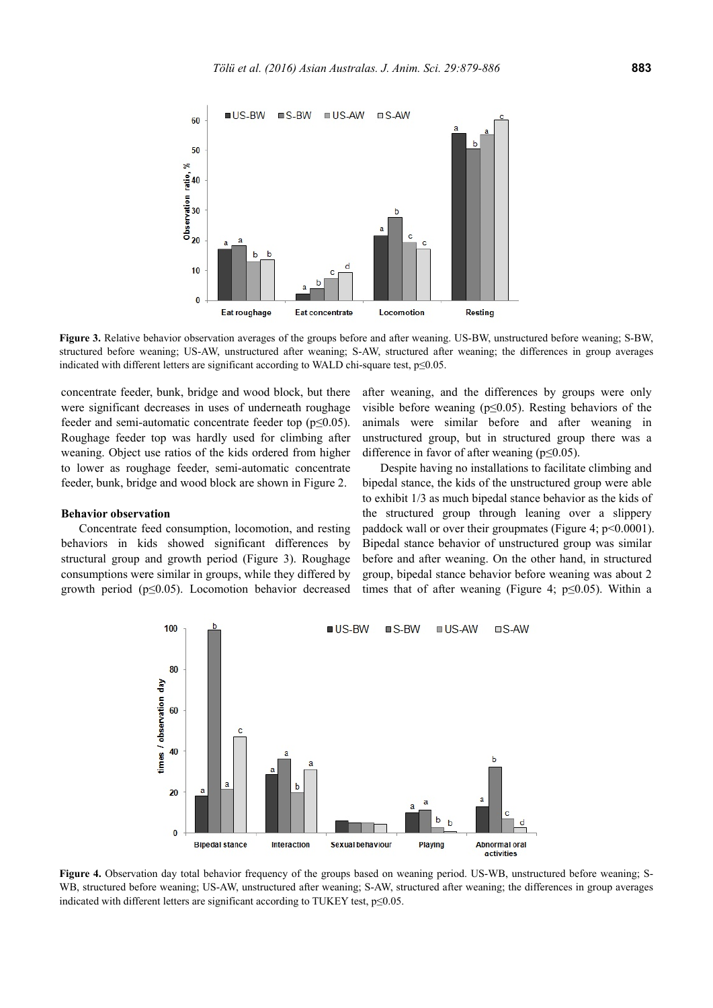

**Figure 3.** Relative behavior observation averages of the groups before and after weaning. US-BW, unstructured before weaning; S-BW, structured before weaning; US-AW, unstructured after weaning; S-AW, structured after weaning; the differences in group averages indicated with different letters are significant according to WALD chi-square test, p≤0.05.

concentrate feeder, bunk, bridge and wood block, but there were significant decreases in uses of underneath roughage feeder and semi-automatic concentrate feeder top (p≤0.05). Roughage feeder top was hardly used for climbing after weaning. Object use ratios of the kids ordered from higher to lower as roughage feeder, semi-automatic concentrate feeder, bunk, bridge and wood block are shown in Figure 2.

#### **Behavior observation**

Concentrate feed consumption, locomotion, and resting behaviors in kids showed significant differences by structural group and growth period (Figure 3). Roughage consumptions were similar in groups, while they differed by growth period ( $p \leq 0.05$ ). Locomotion behavior decreased after weaning, and the differences by groups were only visible before weaning ( $p \le 0.05$ ). Resting behaviors of the animals were similar before and after weaning in unstructured group, but in structured group there was a difference in favor of after weaning (p≤0.05).

Despite having no installations to facilitate climbing and bipedal stance, the kids of the unstructured group were able to exhibit 1/3 as much bipedal stance behavior as the kids of the structured group through leaning over a slippery paddock wall or over their groupmates (Figure 4; p<0.0001). Bipedal stance behavior of unstructured group was similar before and after weaning. On the other hand, in structured group, bipedal stance behavior before weaning was about 2 times that of after weaning (Figure 4;  $p \le 0.05$ ). Within a



**Figure 4.** Observation day total behavior frequency of the groups based on weaning period. US-WB, unstructured before weaning: S-WB, structured before weaning; US-AW, unstructured after weaning; S-AW, structured after weaning; the differences in group averages indicated with different letters are significant according to TUKEY test,  $p \le 0.05$ .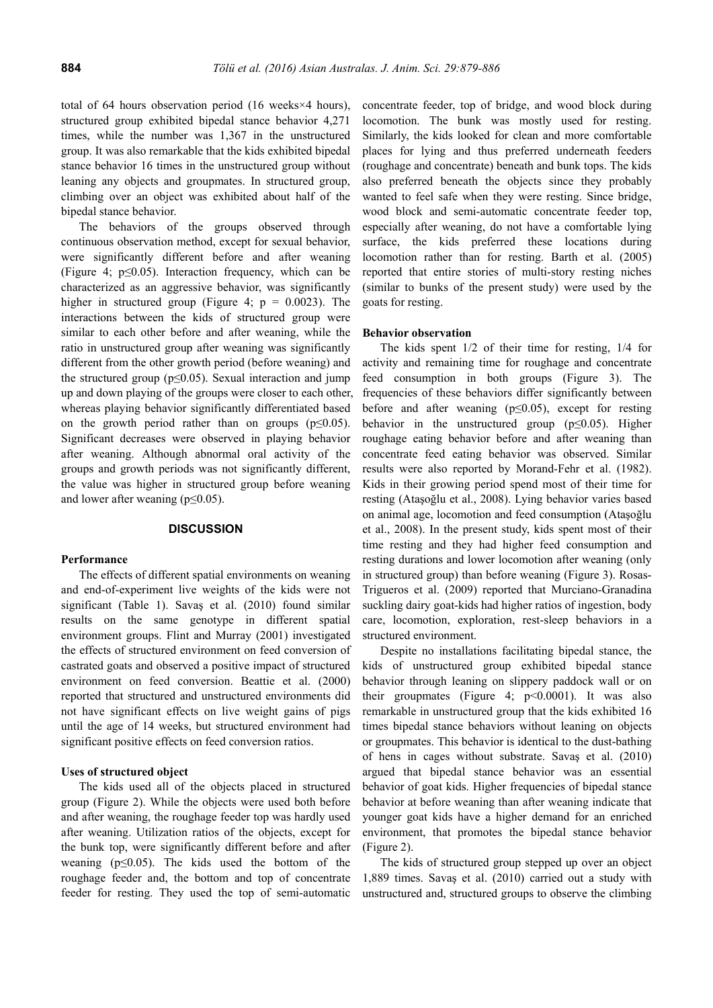total of 64 hours observation period (16 weeks×4 hours), structured group exhibited bipedal stance behavior 4,271 times, while the number was 1,367 in the unstructured group. It was also remarkable that the kids exhibited bipedal stance behavior 16 times in the unstructured group without leaning any objects and groupmates. In structured group, climbing over an object was exhibited about half of the bipedal stance behavior.

The behaviors of the groups observed through continuous observation method, except for sexual behavior, were significantly different before and after weaning (Figure 4; p≤0.05). Interaction frequency, which can be characterized as an aggressive behavior, was significantly higher in structured group (Figure 4;  $p = 0.0023$ ). The interactions between the kids of structured group were similar to each other before and after weaning, while the ratio in unstructured group after weaning was significantly different from the other growth period (before weaning) and the structured group ( $p \le 0.05$ ). Sexual interaction and jump up and down playing of the groups were closer to each other, whereas playing behavior significantly differentiated based on the growth period rather than on groups ( $p \leq 0.05$ ). Significant decreases were observed in playing behavior after weaning. Although abnormal oral activity of the groups and growth periods was not significantly different, the value was higher in structured group before weaning and lower after weaning ( $p \le 0.05$ ).

## **DISCUSSION**

#### **Performance**

The effects of different spatial environments on weaning and end-of-experiment live weights of the kids were not significant (Table 1). Savaş et al. (2010) found similar results on the same genotype in different spatial environment groups. Flint and Murray (2001) investigated the effects of structured environment on feed conversion of castrated goats and observed a positive impact of structured environment on feed conversion. Beattie et al. (2000) reported that structured and unstructured environments did not have significant effects on live weight gains of pigs until the age of 14 weeks, but structured environment had significant positive effects on feed conversion ratios.

#### **Uses of structured object**

The kids used all of the objects placed in structured group (Figure 2). While the objects were used both before and after weaning, the roughage feeder top was hardly used after weaning. Utilization ratios of the objects, except for the bunk top, were significantly different before and after weaning ( $p \le 0.05$ ). The kids used the bottom of the roughage feeder and, the bottom and top of concentrate feeder for resting. They used the top of semi-automatic concentrate feeder, top of bridge, and wood block during locomotion. The bunk was mostly used for resting. Similarly, the kids looked for clean and more comfortable places for lying and thus preferred underneath feeders (roughage and concentrate) beneath and bunk tops. The kids also preferred beneath the objects since they probably wanted to feel safe when they were resting. Since bridge, wood block and semi-automatic concentrate feeder top, especially after weaning, do not have a comfortable lying surface, the kids preferred these locations during locomotion rather than for resting. Barth et al. (2005) reported that entire stories of multi-story resting niches (similar to bunks of the present study) were used by the goats for resting.

#### **Behavior observation**

The kids spent 1/2 of their time for resting, 1/4 for activity and remaining time for roughage and concentrate feed consumption in both groups (Figure 3). The frequencies of these behaviors differ significantly between before and after weaning  $(p \le 0.05)$ , except for resting behavior in the unstructured group  $(p \le 0.05)$ . Higher roughage eating behavior before and after weaning than concentrate feed eating behavior was observed. Similar results were also reported by Morand-Fehr et al. (1982). Kids in their growing period spend most of their time for resting (Ataşoğlu et al., 2008). Lying behavior varies based on animal age, locomotion and feed consumption (Ataşoğlu et al., 2008). In the present study, kids spent most of their time resting and they had higher feed consumption and resting durations and lower locomotion after weaning (only in structured group) than before weaning (Figure 3). Rosas-Trigueros et al. (2009) reported that Murciano-Granadina suckling dairy goat-kids had higher ratios of ingestion, body care, locomotion, exploration, rest-sleep behaviors in a structured environment.

Despite no installations facilitating bipedal stance, the kids of unstructured group exhibited bipedal stance behavior through leaning on slippery paddock wall or on their groupmates (Figure 4;  $p<0.0001$ ). It was also remarkable in unstructured group that the kids exhibited 16 times bipedal stance behaviors without leaning on objects or groupmates. This behavior is identical to the dust-bathing of hens in cages without substrate. Savaş et al. (2010) argued that bipedal stance behavior was an essential behavior of goat kids. Higher frequencies of bipedal stance behavior at before weaning than after weaning indicate that younger goat kids have a higher demand for an enriched environment, that promotes the bipedal stance behavior (Figure 2).

The kids of structured group stepped up over an object 1,889 times. Savaş et al. (2010) carried out a study with unstructured and, structured groups to observe the climbing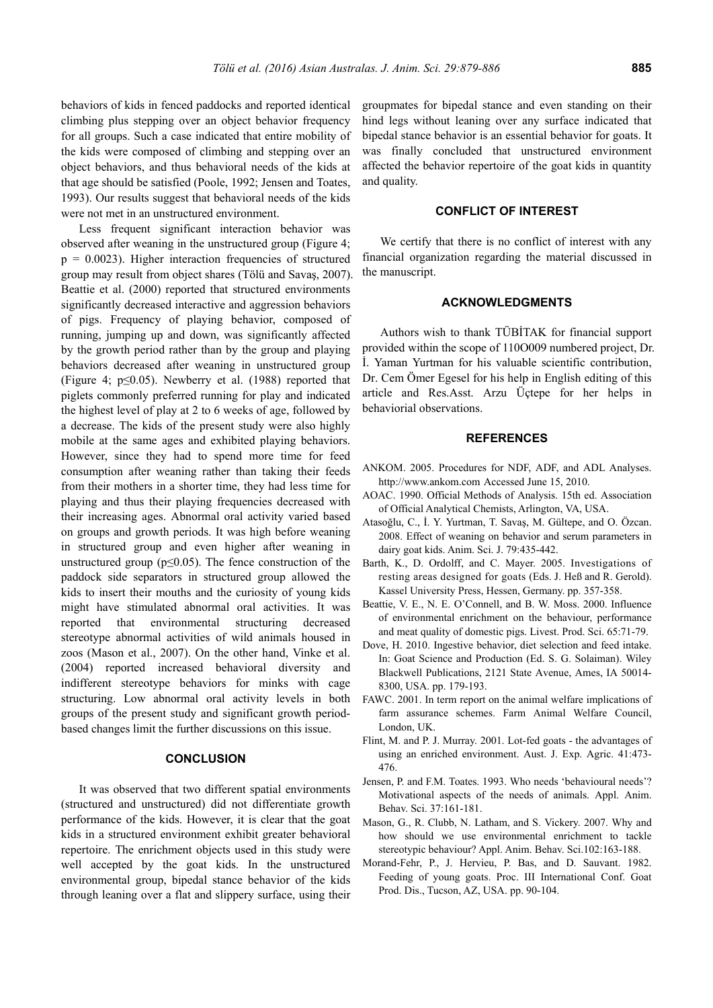behaviors of kids in fenced paddocks and reported identical climbing plus stepping over an object behavior frequency for all groups. Such a case indicated that entire mobility of the kids were composed of climbing and stepping over an object behaviors, and thus behavioral needs of the kids at that age should be satisfied (Poole, 1992; Jensen and Toates, 1993). Our results suggest that behavioral needs of the kids were not met in an unstructured environment.

Less frequent significant interaction behavior was observed after weaning in the unstructured group (Figure 4;  $p = 0.0023$ . Higher interaction frequencies of structured group may result from object shares (Tölü and Savaş, 2007). Beattie et al. (2000) reported that structured environments significantly decreased interactive and aggression behaviors of pigs. Frequency of playing behavior, composed of running, jumping up and down, was significantly affected by the growth period rather than by the group and playing behaviors decreased after weaning in unstructured group (Figure 4;  $p \le 0.05$ ). Newberry et al. (1988) reported that piglets commonly preferred running for play and indicated the highest level of play at 2 to 6 weeks of age, followed by a decrease. The kids of the present study were also highly mobile at the same ages and exhibited playing behaviors. However, since they had to spend more time for feed consumption after weaning rather than taking their feeds from their mothers in a shorter time, they had less time for playing and thus their playing frequencies decreased with their increasing ages. Abnormal oral activity varied based on groups and growth periods. It was high before weaning in structured group and even higher after weaning in unstructured group ( $p \leq 0.05$ ). The fence construction of the paddock side separators in structured group allowed the kids to insert their mouths and the curiosity of young kids might have stimulated abnormal oral activities. It was reported that environmental structuring decreased stereotype abnormal activities of wild animals housed in zoos (Mason et al., 2007). On the other hand, Vinke et al. (2004) reported increased behavioral diversity and indifferent stereotype behaviors for minks with cage structuring. Low abnormal oral activity levels in both groups of the present study and significant growth periodbased changes limit the further discussions on this issue.

# **CONCLUSION**

It was observed that two different spatial environments (structured and unstructured) did not differentiate growth performance of the kids. However, it is clear that the goat kids in a structured environment exhibit greater behavioral repertoire. The enrichment objects used in this study were well accepted by the goat kids. In the unstructured environmental group, bipedal stance behavior of the kids through leaning over a flat and slippery surface, using their groupmates for bipedal stance and even standing on their hind legs without leaning over any surface indicated that bipedal stance behavior is an essential behavior for goats. It was finally concluded that unstructured environment affected the behavior repertoire of the goat kids in quantity and quality.

# **CONFLICT OF INTEREST**

We certify that there is no conflict of interest with any financial organization regarding the material discussed in the manuscript.

# **ACKNOWLEDGMENTS**

Authors wish to thank TÜBİTAK for financial support provided within the scope of 110O009 numbered project, Dr. İ. Yaman Yurtman for his valuable scientific contribution, Dr. Cem Ömer Egesel for his help in English editing of this article and Res.Asst. Arzu Üçtepe for her helps in behaviorial observations.

# **REFERENCES**

- ANKOM. 2005. Procedures for NDF, ADF, and ADL Analyses. http://www.ankom.com Accessed June 15, 2010.
- AOAC. 1990. Official Methods of Analysis. 15th ed. Association of Official Analytical Chemists, Arlington, VA, USA.
- Atasoğlu, C., İ. Y. Yurtman, T. Savaş, M. Gültepe, and O. Özcan. 2008. Effect of weaning on behavior and serum parameters in dairy goat kids. Anim. Sci. J. 79:435-442.
- Barth, K., D. Ordolff, and C. Mayer. 2005. Investigations of resting areas designed for goats (Eds. J. Heß and R. Gerold). Kassel University Press, Hessen, Germany. pp. 357-358.
- Beattie, V. E., N. E. O'Connell, and B. W. Moss. 2000. Influence of environmental enrichment on the behaviour, performance and meat quality of domestic pigs. Livest. Prod. Sci. 65:71-79.
- Dove, H. 2010. Ingestive behavior, diet selection and feed intake. In: Goat Science and Production (Ed. S. G. Solaiman). Wiley Blackwell Publications, 2121 State Avenue, Ames, IA 50014- 8300, USA. pp. 179-193.
- FAWC. 2001. In term report on the animal welfare implications of farm assurance schemes. Farm Animal Welfare Council, London, UK.
- Flint, M. and P. J. Murray. 2001. Lot-fed goats the advantages of using an enriched environment. Aust. J. Exp. Agric. 41:473- 476.
- Jensen, P. and F.M. Toates. 1993. Who needs 'behavioural needs'? Motivational aspects of the needs of animals. Appl. Anim. Behav. Sci. 37:161-181.
- Mason, G., R. Clubb, N. Latham, and S. Vickery. 2007. Why and how should we use environmental enrichment to tackle stereotypic behaviour? Appl. Anim. Behav. Sci.102:163-188.
- Morand-Fehr, P., J. Hervieu, P. Bas, and D. Sauvant. 1982. Feeding of young goats. Proc. III International Conf. Goat Prod. Dis., Tucson, AZ, USA. pp. 90-104.